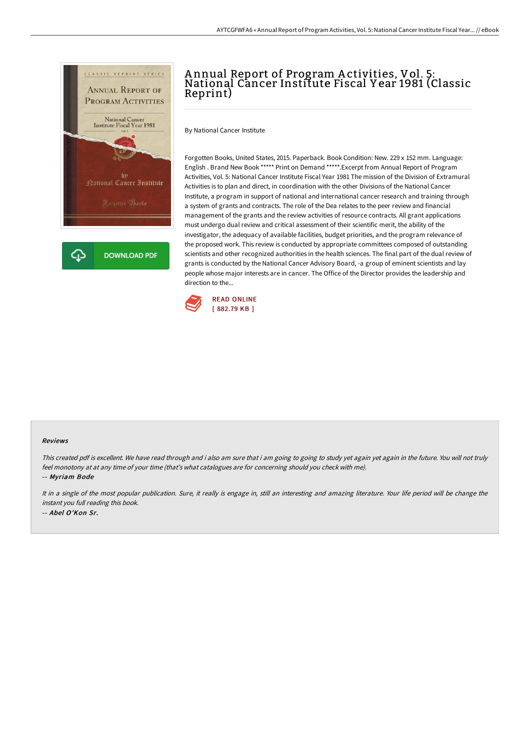

# A nnual Report of Program A ctivities, Vol. 5: National Cancer Institute Fiscal Y ear 1981 (Classic Reprint)

By National Cancer Institute

Forgotten Books, United States, 2015. Paperback. Book Condition: New. 229 x 152 mm. Language: English . Brand New Book \*\*\*\*\* Print on Demand \*\*\*\*\*.Excerpt from Annual Report of Program Activities, Vol. 5: National Cancer Institute Fiscal Year 1981 The mission of the Division of Extramural Activities is to plan and direct, in coordination with the other Divisions of the National Cancer Institute, a program in support of national and international cancer research and training through a system of grants and contracts. The role of the Dea relates to the peer review and financial management of the grants and the review activities of resource contracts. All grant applications must undergo dual review and critical assessment of their scientific merit, the ability of the investigator, the adequacy of available facilities, budget priorities, and the program relevance of the proposed work. This review is conducted by appropriate committees composed of outstanding scientists and other recognized authorities in the health sciences. The final part of the dual review of grants is conducted by the National Cancer Advisory Board, -a group of eminent scientists and lay people whose major interests are in cancer. The Office of the Director provides the leadership and direction to the...



#### Reviews

This created pdf is excellent. We have read through and i also am sure that i am going to going to study yet again yet again in the future. You will not truly feel monotony at at any time of your time (that's what catalogues are for concerning should you check with me).

-- Myriam Bode

It in <sup>a</sup> single of the most popular publication. Sure, it really is engage in, still an interesting and amazing literature. Your life period will be change the instant you full reading this book. -- Abel O'Kon Sr.